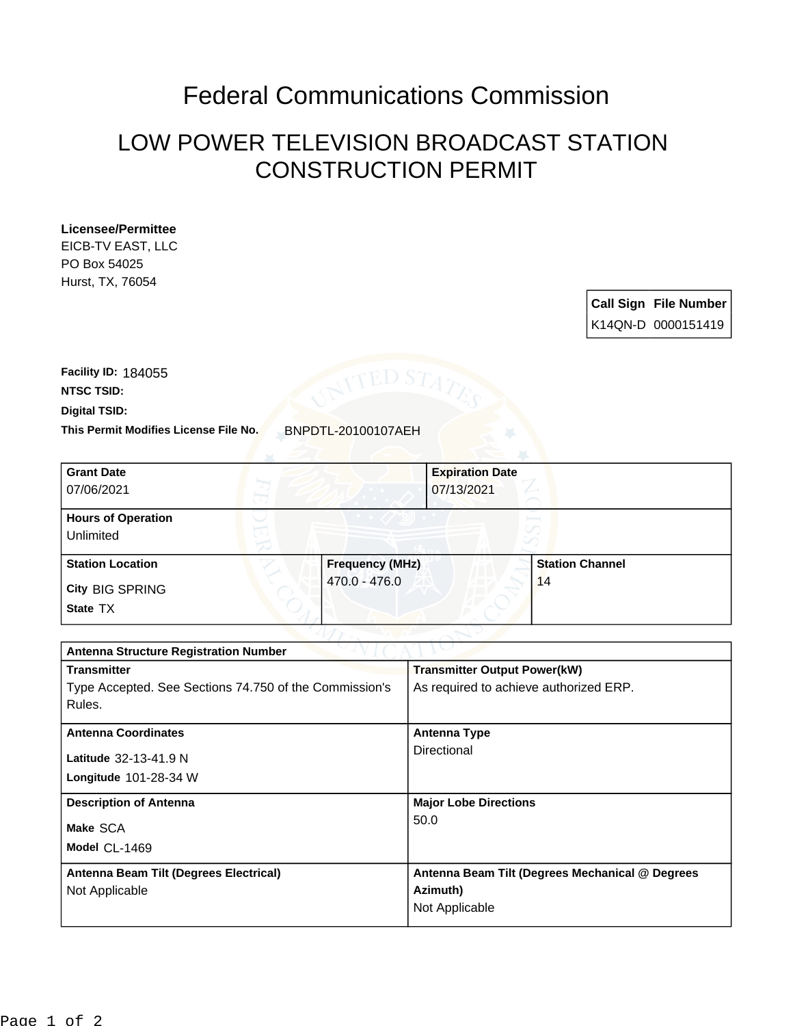## Federal Communications Commission

## LOW POWER TELEVISION BROADCAST STATION CONSTRUCTION PERMIT

## **Licensee/Permittee**

EICB-TV EAST, LLC PO Box 54025 Hurst, TX, 76054

> **Call Sign File Number** K14QN-D 0000151419

**This Permit Modifies License File No.** BNPDTL-20100107AEH **Digital TSID: NTSC TSID: Facility ID:** 184055

| <b>Grant Date</b><br>07/06/2021        | <b>Expiration Date</b><br>07/13/2021 |                        |
|----------------------------------------|--------------------------------------|------------------------|
| <b>Hours of Operation</b><br>Unlimited |                                      | v                      |
| <b>Station Location</b>                | <b>Frequency (MHz)</b>               | <b>Station Channel</b> |
| <b>City BIG SPRING</b><br>State TX     | 470.0 - 476.0                        | 14                     |

| <b>Antenna Structure Registration Number</b>           |                                                 |  |  |
|--------------------------------------------------------|-------------------------------------------------|--|--|
| <b>Transmitter</b>                                     | <b>Transmitter Output Power(kW)</b>             |  |  |
| Type Accepted. See Sections 74.750 of the Commission's | As required to achieve authorized ERP.          |  |  |
| Rules.                                                 |                                                 |  |  |
| <b>Antenna Coordinates</b>                             | <b>Antenna Type</b>                             |  |  |
| Latitude 32-13-41.9 N                                  | Directional                                     |  |  |
| <b>Longitude 101-28-34 W</b>                           |                                                 |  |  |
| <b>Description of Antenna</b>                          | <b>Major Lobe Directions</b>                    |  |  |
| Make SCA                                               | 50.0                                            |  |  |
| Model CL-1469                                          |                                                 |  |  |
| Antenna Beam Tilt (Degrees Electrical)                 | Antenna Beam Tilt (Degrees Mechanical @ Degrees |  |  |
| Not Applicable                                         | Azimuth)                                        |  |  |
|                                                        | Not Applicable                                  |  |  |